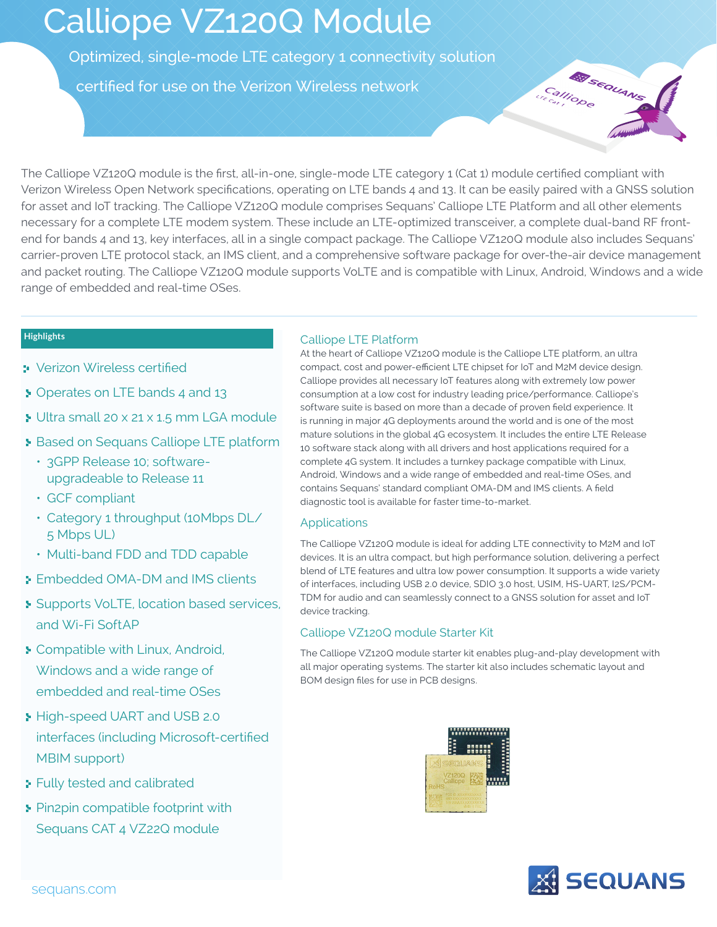# Calliope VZ120Q Module

Optimized, single-mode LTE category 1 connectivity solution

certified for use on the Verizon Wireless network



The Calliope VZ120Q module is the first, all-in-one, single-mode LTE category 1 (Cat 1) module certified compliant with Verizon Wireless Open Network specifications, operating on LTE bands 4 and 13. It can be easily paired with a GNSS solution for asset and IoT tracking. The Calliope VZ120Q module comprises Sequans' Calliope LTE Platform and all other elements necessary for a complete LTE modem system. These include an LTE-optimized transceiver, a complete dual-band RF frontend for bands 4 and 13, key interfaces, all in a single compact package. The Calliope VZ120Q module also includes Sequans' carrier-proven LTE protocol stack, an IMS client, and a comprehensive software package for over-the-air device management and packet routing. The Calliope VZ120Q module supports VoLTE and is compatible with Linux, Android, Windows and a wide range of embedded and real-time OSes.

### **Highlights**

- Verizon Wireless certified
- Operates on LTE bands 4 and 13
- Ultra small 20 x 21 x 1.5 mm LGA module
- Based on Sequans Calliope LTE platform
	- 3GPP Release 10; softwareupgradeable to Release 11
	- GCF compliant
	- Category 1 throughput (10Mbps DL/ 5 Mbps UL)
	- Multi-band FDD and TDD capable
- Embedded OMA-DM and IMS clients
- Supports VoLTE, location based services, and Wi-Fi SoftAP
- Compatible with Linux, Android, Windows and a wide range of embedded and real-time OSes
- High-speed UART and USB 2.0 interfaces (including Microsoft-certified MBIM support)
- Fully tested and calibrated
- Pin2pin compatible footprint with Sequans CAT 4 VZ22Q module

### Calliope LTE Platform

At the heart of Calliope VZ120Q module is the Calliope LTE platform, an ultra compact, cost and power-efficient LTE chipset for IoT and M2M device design. Calliope provides all necessary IoT features along with extremely low power consumption at a low cost for industry leading price/performance. Calliope's software suite is based on more than a decade of proven field experience. It is running in major 4G deployments around the world and is one of the most mature solutions in the global 4G ecosystem. It includes the entire LTE Release 10 software stack along with all drivers and host applications required for a complete 4G system. It includes a turnkey package compatible with Linux, Android, Windows and a wide range of embedded and real-time OSes, and contains Sequans' standard compliant OMA-DM and IMS clients. A field diagnostic tool is available for faster time-to-market.

### Applications

The Calliope VZ120Q module is ideal for adding LTE connectivity to M2M and IoT devices. It is an ultra compact, but high performance solution, delivering a perfect blend of LTE features and ultra low power consumption. It supports a wide variety of interfaces, including USB 2.0 device, SDIO 3.0 host, USIM, HS-UART, I2S/PCM-TDM for audio and can seamlessly connect to a GNSS solution for asset and IoT device tracking.

### Calliope VZ120Q module Starter Kit

The Calliope VZ120Q module starter kit enables plug-and-play development with all major operating systems. The starter kit also includes schematic layout and BOM design files for use in PCB designs.